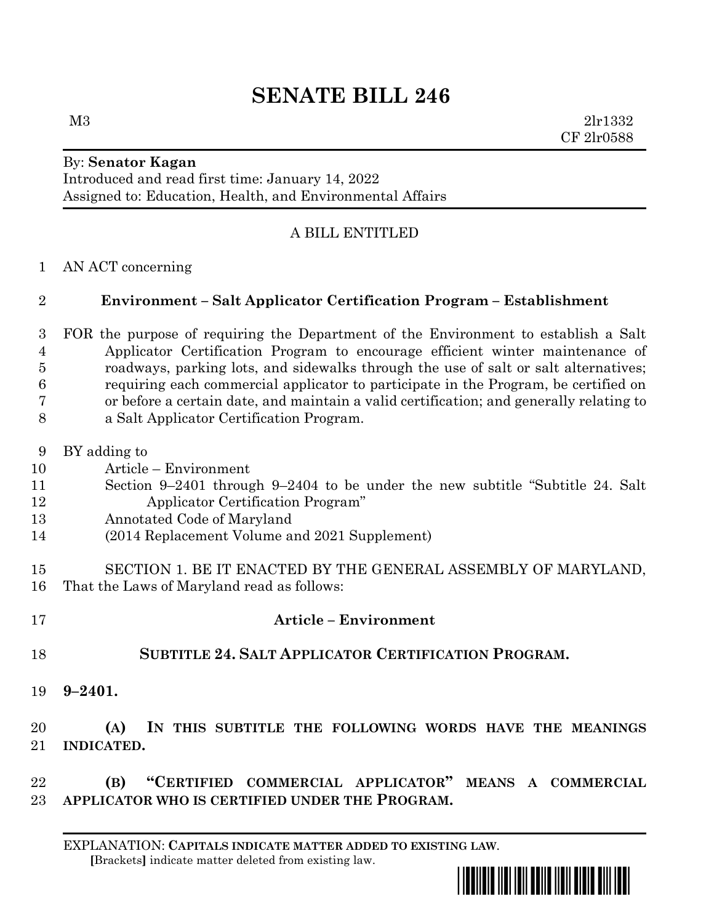# **SENATE BILL 246**

M3 2lr1332 CF 2lr0588

#### By: **Senator Kagan** Introduced and read first time: January 14, 2022 Assigned to: Education, Health, and Environmental Affairs

### A BILL ENTITLED

AN ACT concerning

### **Environment – Salt Applicator Certification Program – Establishment**

 FOR the purpose of requiring the Department of the Environment to establish a Salt Applicator Certification Program to encourage efficient winter maintenance of roadways, parking lots, and sidewalks through the use of salt or salt alternatives; requiring each commercial applicator to participate in the Program, be certified on or before a certain date, and maintain a valid certification; and generally relating to a Salt Applicator Certification Program.

- BY adding to
- Article Environment
- Section 9–2401 through 9–2404 to be under the new subtitle "Subtitle 24. Salt Applicator Certification Program"
- Annotated Code of Maryland
- (2014 Replacement Volume and 2021 Supplement)
- SECTION 1. BE IT ENACTED BY THE GENERAL ASSEMBLY OF MARYLAND, That the Laws of Maryland read as follows:
- **Article – Environment SUBTITLE 24. SALT APPLICATOR CERTIFICATION PROGRAM.**
- **9–2401.**

## **(A) IN THIS SUBTITLE THE FOLLOWING WORDS HAVE THE MEANINGS INDICATED.**

 **(B) "CERTIFIED COMMERCIAL APPLICATOR" MEANS A COMMERCIAL APPLICATOR WHO IS CERTIFIED UNDER THE PROGRAM.**

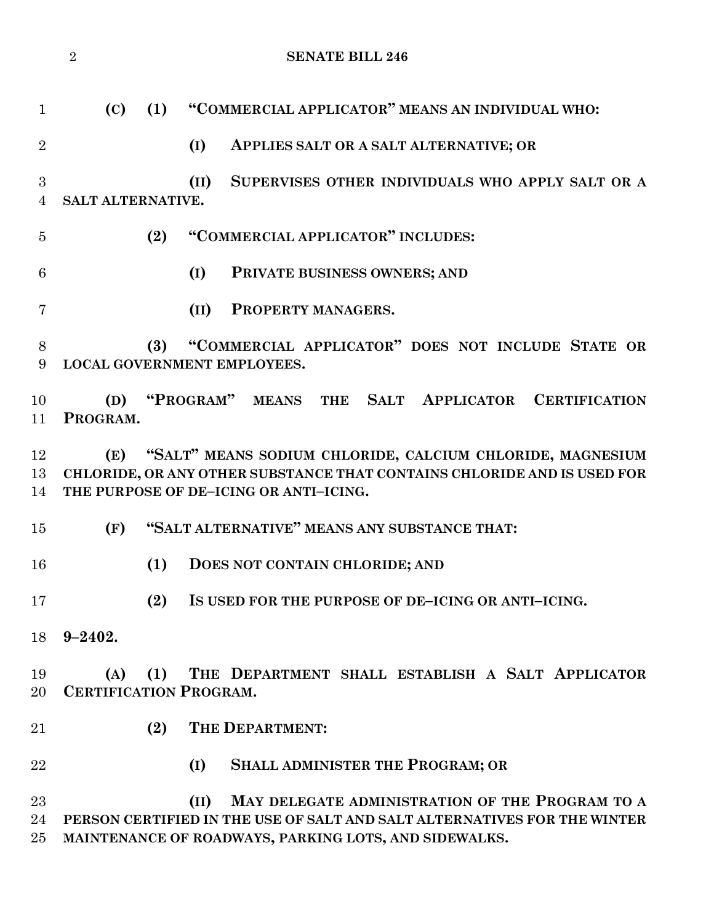|                     | $\overline{2}$    | <b>SENATE BILL 246</b>                                                                                                                                                                       |
|---------------------|-------------------|----------------------------------------------------------------------------------------------------------------------------------------------------------------------------------------------|
| $\mathbf{1}$        | (C)               | "COMMERCIAL APPLICATOR" MEANS AN INDIVIDUAL WHO:<br>(1)                                                                                                                                      |
| $\overline{2}$      |                   | (I)<br>APPLIES SALT OR A SALT ALTERNATIVE; OR                                                                                                                                                |
| 3<br>$\overline{4}$ | SALT ALTERNATIVE. | SUPERVISES OTHER INDIVIDUALS WHO APPLY SALT OR A<br>(II)                                                                                                                                     |
| $\overline{5}$      |                   | "COMMERCIAL APPLICATOR" INCLUDES:<br>(2)                                                                                                                                                     |
| 6                   |                   | (I)<br>PRIVATE BUSINESS OWNERS; AND                                                                                                                                                          |
| 7                   |                   | (II)<br>PROPERTY MANAGERS.                                                                                                                                                                   |
| 8<br>9              |                   | "COMMERCIAL APPLICATOR" DOES NOT INCLUDE STATE OR<br>(3)<br><b>LOCAL GOVERNMENT EMPLOYEES.</b>                                                                                               |
| 10<br>11            | (D)<br>PROGRAM.   | "PROGRAM" MEANS THE SALT APPLICATOR CERTIFICATION                                                                                                                                            |
| 12<br>13<br>14      | (E)               | "SALT" MEANS SODIUM CHLORIDE, CALCIUM CHLORIDE, MAGNESIUM<br>CHLORIDE, OR ANY OTHER SUBSTANCE THAT CONTAINS CHLORIDE AND IS USED FOR<br>THE PURPOSE OF DE-ICING OR ANTI-ICING.               |
| 15                  | (F)               | "SALT ALTERNATIVE" MEANS ANY SUBSTANCE THAT:                                                                                                                                                 |
| 16                  |                   | (1)<br>DOES NOT CONTAIN CHLORIDE; AND                                                                                                                                                        |
| 17                  |                   | (2)<br>IS USED FOR THE PURPOSE OF DE-ICING OR ANTI-ICING.                                                                                                                                    |
| 18                  | $9 - 2402.$       |                                                                                                                                                                                              |
| 19<br>20            | (A)               | THE DEPARTMENT SHALL ESTABLISH A SALT APPLICATOR<br>(1)<br><b>CERTIFICATION PROGRAM.</b>                                                                                                     |
| 21                  |                   | (2)<br>THE DEPARTMENT:                                                                                                                                                                       |
| 22                  |                   | <b>SHALL ADMINISTER THE PROGRAM; OR</b><br>(I)                                                                                                                                               |
| 23<br>24<br>25      |                   | MAY DELEGATE ADMINISTRATION OF THE PROGRAM TO A<br>(II)<br>PERSON CERTIFIED IN THE USE OF SALT AND SALT ALTERNATIVES FOR THE WINTER<br>MAINTENANCE OF ROADWAYS, PARKING LOTS, AND SIDEWALKS. |